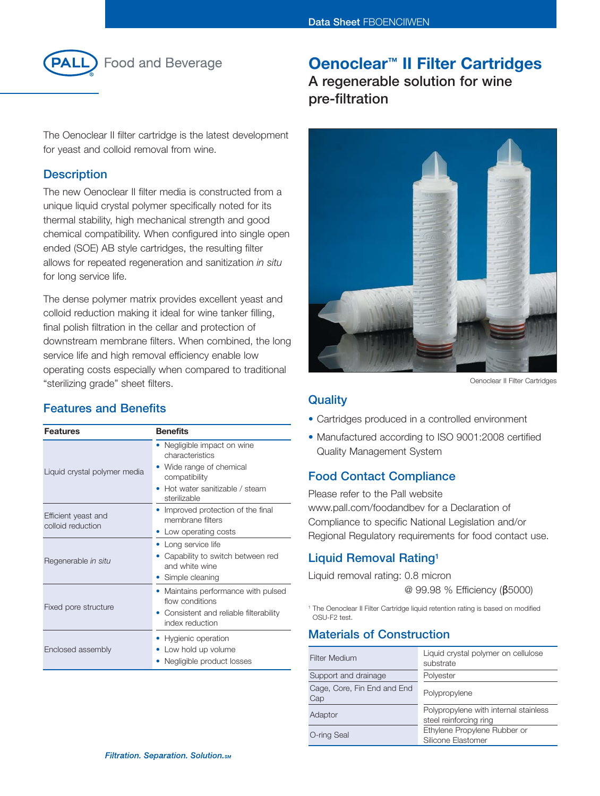

**Food and Beverage** 

# **Oenoclear™ II Filter Cartridges**

**A regenerable solution for wine pre-filtration**

The Oenoclear II filter cartridge is the latest development for yeast and colloid removal from wine.

## **Description**

The new Oenoclear II filter media is constructed from a unique liquid crystal polymer specifically noted for its thermal stability, high mechanical strength and good chemical compatibility. When configured into single open ended (SOE) AB style cartridges, the resulting filter allows for repeated regeneration and sanitization *in situ* for long service life.

The dense polymer matrix provides excellent yeast and colloid reduction making it ideal for wine tanker filling, final polish filtration in the cellar and protection of downstream membrane filters. When combined, the long service life and high removal efficiency enable low operating costs especially when compared to traditional "sterilizing grade" sheet filters.

# **Features and Benefits**

| <b>Features</b>                          | <b>Benefits</b>                                                                                                                          |
|------------------------------------------|------------------------------------------------------------------------------------------------------------------------------------------|
| Liquid crystal polymer media             | Negligible impact on wine<br>characteristics<br>Wide range of chemical<br>compatibility<br>Hot water sanitizable / steam<br>sterilizable |
| Efficient yeast and<br>colloid reduction | Improved protection of the final<br>membrane filters<br>Low operating costs                                                              |
| Regenerable in situ                      | • Long service life<br>Capability to switch between red<br>and white wine<br>Simple cleaning                                             |
| Fixed pore structure                     | Maintains performance with pulsed<br>flow conditions<br>Consistent and reliable filterability<br>index reduction                         |
| Enclosed assembly                        | Hygienic operation<br>Low hold up volume<br>Negligible product losses                                                                    |



Oenoclear II Filter Cartridges

### **Quality**

- Cartridges produced in a controlled environment
- Manufactured according to ISO 9001:2008 certified Quality Management System

## **Food Contact Compliance**

Please refer to the Pall website www.pall.com/foodandbev for a Declaration of Compliance to specific National Legislation and/or Regional Regulatory requirements for food contact use.

# **Liquid Removal Rating1**

Liquid removal rating: 0.8 micron @ 99.98 % Efficiency (β5000)

<sup>1</sup> The Oenoclear II Filter Cartridge liquid retention rating is based on modified OSU-F2 test.

# **Materials of Construction**

| <b>Filter Medium</b>               | Liquid crystal polymer on cellulose<br>substrate                |
|------------------------------------|-----------------------------------------------------------------|
| Support and drainage               | Polyester                                                       |
| Cage, Core, Fin End and End<br>Cap | Polypropylene                                                   |
| Adaptor                            | Polypropylene with internal stainless<br>steel reinforcing ring |
| O-ring Seal                        | Ethylene Propylene Rubber or<br>Silicone Elastomer              |